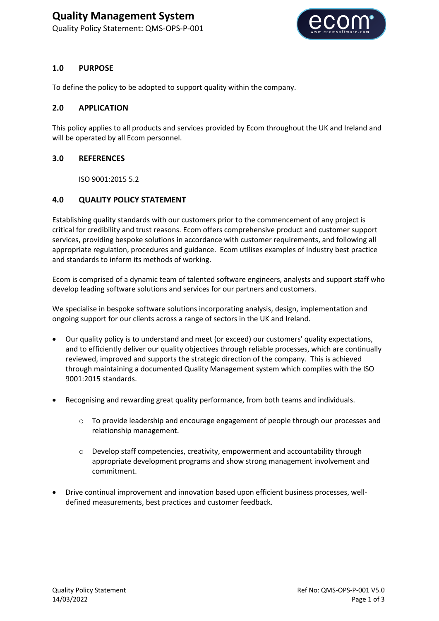# **Quality Management System**

Quality Policy Statement: QMS-OPS-P-001



## **1.0 PURPOSE**

To define the policy to be adopted to support quality within the company.

### **2.0 APPLICATION**

This policy applies to all products and services provided by Ecom throughout the UK and Ireland and will be operated by all Ecom personnel.

## **3.0 REFERENCES**

ISO 9001:2015 5.2

# **4.0 QUALITY POLICY STATEMENT**

Establishing quality standards with our customers prior to the commencement of any project is critical for credibility and trust reasons. Ecom offers comprehensive product and customer support services, providing bespoke solutions in accordance with customer requirements, and following all appropriate regulation, procedures and guidance. Ecom utilises examples of industry best practice and standards to inform its methods of working.

Ecom is comprised of a dynamic team of talented software engineers, analysts and support staff who develop leading software solutions and services for our partners and customers.

We specialise in bespoke software solutions incorporating analysis, design, implementation and ongoing support for our clients across a range of sectors in the UK and Ireland.

- Our quality policy is to understand and meet (or exceed) our customers' quality expectations, and to efficiently deliver our quality objectives through reliable processes, which are continually reviewed, improved and supports the strategic direction of the company. This is achieved through maintaining a documented Quality Management system which complies with the ISO 9001:2015 standards.
- Recognising and rewarding great quality performance, from both teams and individuals.
	- o To provide leadership and encourage engagement of people through our processes and relationship management.
	- o Develop staff competencies, creativity, empowerment and accountability through appropriate development programs and show strong management involvement and commitment.
- Drive continual improvement and innovation based upon efficient business processes, welldefined measurements, best practices and customer feedback.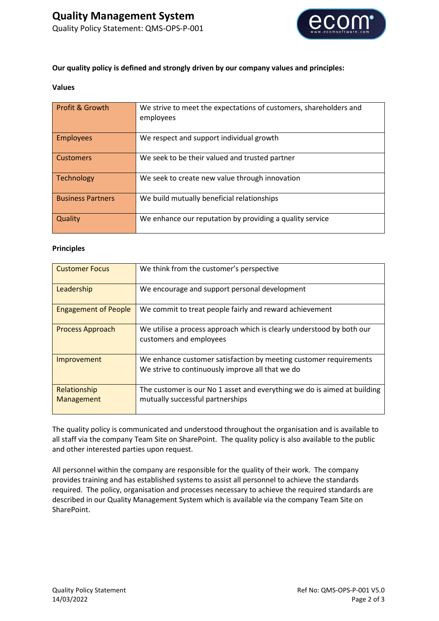

### **Our quality policy is defined and strongly driven by our company values and principles:**

#### **Values**

| <b>Profit &amp; Growth</b> | We strive to meet the expectations of customers, shareholders and<br>employees |
|----------------------------|--------------------------------------------------------------------------------|
| <b>Employees</b>           | We respect and support individual growth                                       |
| <b>Customers</b>           | We seek to be their valued and trusted partner                                 |
| Technology                 | We seek to create new value through innovation                                 |
| <b>Business Partners</b>   | We build mutually beneficial relationships                                     |
| Quality                    | We enhance our reputation by providing a quality service                       |

#### **Principles**

| <b>Customer Focus</b>       | We think from the customer's perspective                                                                              |
|-----------------------------|-----------------------------------------------------------------------------------------------------------------------|
| Leadership                  | We encourage and support personal development                                                                         |
| <b>Engagement of People</b> | We commit to treat people fairly and reward achievement                                                               |
| <b>Process Approach</b>     | We utilise a process approach which is clearly understood by both our<br>customers and employees                      |
| Improvement                 | We enhance customer satisfaction by meeting customer requirements<br>We strive to continuously improve all that we do |
| Relationship<br>Management  | The customer is our No 1 asset and everything we do is aimed at building<br>mutually successful partnerships          |

The quality policy is communicated and understood throughout the organisation and is available to all staff via the company Team Site on SharePoint. The quality policy is also available to the public and other interested parties upon request.

All personnel within the company are responsible for the quality of their work. The company provides training and has established systems to assist all personnel to achieve the standards required. The policy, organisation and processes necessary to achieve the required standards are described in our Quality Management System which is available via the company Team Site on SharePoint.